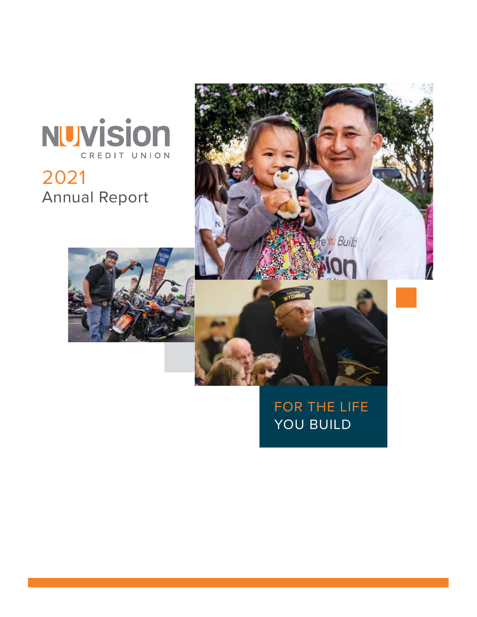# NUVISION CREDIT UNION

### 2021 Annual Report



### FOR THE LIFE YOU BUILD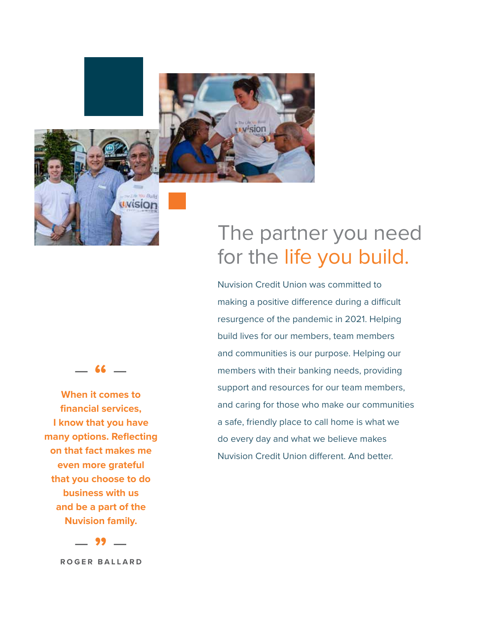



#### – **"** –

**When it comes to financial services, I know that you have many options. Reflecting on that fact makes me even more grateful that you choose to do business with us and be a part of the Nuvision family.**

– **"** – **ROGER BALLARD**

# The partner you need for the life you build.

Nuvision Credit Union was committed to making a positive difference during a difficult resurgence of the pandemic in 2021. Helping build lives for our members, team members and communities is our purpose. Helping our members with their banking needs, providing support and resources for our team members, and caring for those who make our communities a safe, friendly place to call home is what we do every day and what we believe makes Nuvision Credit Union different. And better.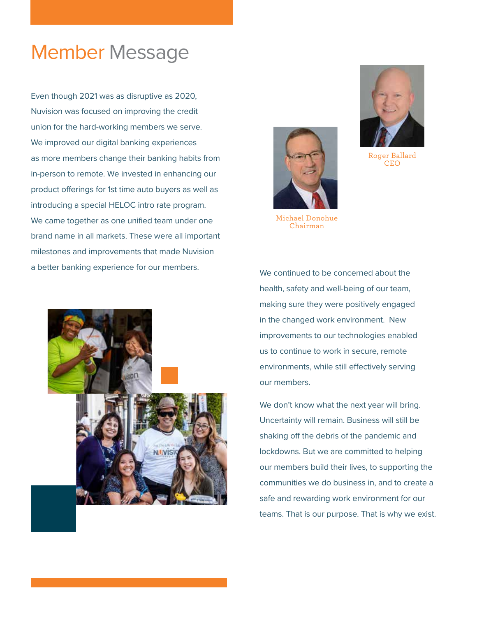## Member Message

Even though 2021 was as disruptive as 2020, Nuvision was focused on improving the credit union for the hard-working members we serve. We improved our digital banking experiences as more members change their banking habits from in-person to remote. We invested in enhancing our product offerings for 1st time auto buyers as well as introducing a special HELOC intro rate program. We came together as one unified team under one brand name in all markets. These were all important milestones and improvements that made Nuvision a better banking experience for our members. We continued to be concerned about the



Michael Donohue Chairman



health, safety and well-being of our team, making sure they were positively engaged in the changed work environment. New improvements to our technologies enabled us to continue to work in secure, remote environments, while still effectively serving our members.

We don't know what the next year will bring. Uncertainty will remain. Business will still be shaking off the debris of the pandemic and lockdowns. But we are committed to helping our members build their lives, to supporting the communities we do business in, and to create a safe and rewarding work environment for our teams. That is our purpose. That is why we exist.



Roger Ballard CEO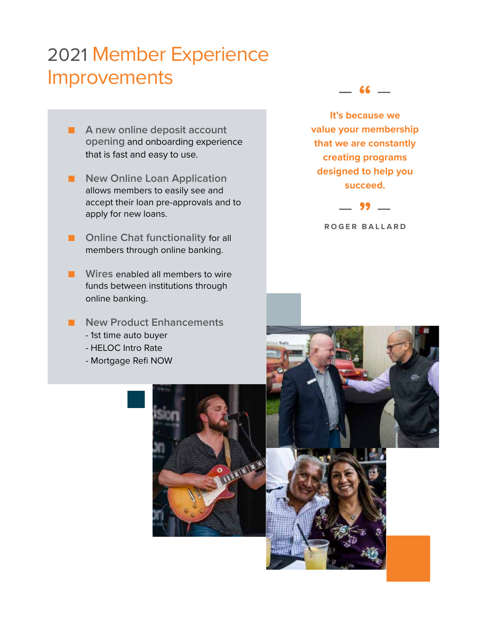# 2021 Member Experience Improvements –  $\frac{1}{2}$

- **A** new online deposit account **opening** and onboarding experience that is fast and easy to use.
- **New Online Loan Application** allows members to easily see and accept their loan pre-approvals and to apply for new loans.
- **Online Chat functionality for all** members through online banking.
- **Wires** enabled all members to wire funds between institutions through online banking.
- **New Product Enhancements** - 1st time auto buyer
	- HELOC Intro Rate
	- Mortgage Refi NOW



**It's because we value your membership that we are constantly creating programs designed to help you succeed.**



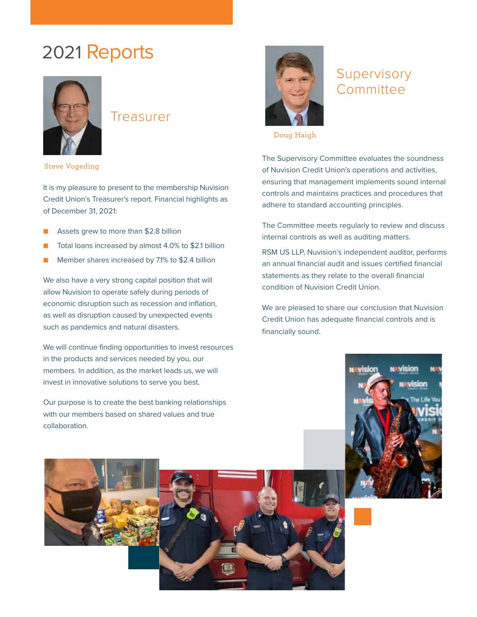## 2021 Reports



#### Treasurer



### Supervisory **Committee**

Doug Haigh

The Supervisory Committee evaluates the soundness of Nuvision Credit Union's operations and activities, ensuring that management implements sound internal controls and maintains practices and procedures that adhere to standard accounting principles.

The Committee meets regularly to review and discuss internal controls as well as auditing matters.

RSM US LLP, Nuvision's independent auditor, performs an annual financial audit and issues certified financial statements as they relate to the overall financial condition of Nuvision Credit Union.

We are pleased to share our conclusion that Nuvision Credit Union has adequate financial controls and is financially sound.





Steve Vogeding

It is my pleasure to present to the membership Nuvision Credit Union's Treasurer's report. Financial highlights as of December 31, 2021:

- Assets grew to more than \$2.8 billion
- Total loans increased by almost 4.0% to \$2.1 billion
- Member shares increased by 7.1% to \$2.4 billion

We also have a very strong capital position that will allow Nuvision to operate safely during periods of economic disruption such as recession and inflation, as well as disruption caused by unexpected events such as pandemics and natural disasters.

We will continue finding opportunities to invest resources in the products and services needed by you, our members. In addition, as the market leads us, we will invest in innovative solutions to serve you best.

Our purpose is to create the best banking relationships with our members based on shared values and true collaboration.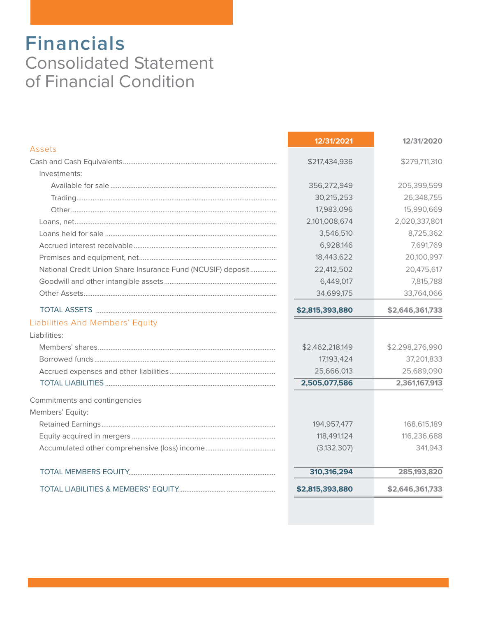### **Financials** Consolidated Statement of Financial Condition

| Assets                                                      | 12/31/2021                 | 12/31/2020      |
|-------------------------------------------------------------|----------------------------|-----------------|
|                                                             | \$217,434,936              | \$279,711,310   |
| Investments:                                                |                            |                 |
|                                                             | 356,272,949                | 205,399,599     |
|                                                             | 30,215,253                 | 26,348,755      |
|                                                             |                            |                 |
|                                                             | 17,983,096                 | 15,990,669      |
|                                                             | 2,101,008,674              | 2,020,337,801   |
|                                                             | 3,546,510                  | 8,725,362       |
|                                                             | 6,928,146                  | 7,691,769       |
|                                                             | 18,443,622                 | 20,100,997      |
| National Credit Union Share Insurance Fund (NCUSIF) deposit | 22,412,502                 | 20,475,617      |
|                                                             | 6,449,017                  | 7,815,788       |
|                                                             | 34,699,175                 | 33,764,066      |
|                                                             | \$2,815,393,880            | \$2,646,361,733 |
| Liabilities And Members' Equity                             |                            |                 |
| Liabilities:                                                |                            |                 |
|                                                             | \$2,462,218,149            | \$2,298,276,990 |
|                                                             | 17,193,424                 | 37,201,833      |
|                                                             | 25,666,013                 | 25,689,090      |
|                                                             | 2,505,077,586              | 2,361,167,913   |
| Commitments and contingencies<br>Members' Equity:           |                            |                 |
|                                                             |                            | 168,615,189     |
|                                                             | 194,957,477<br>118,491,124 | 116,236,688     |
|                                                             |                            |                 |
|                                                             | (3, 132, 307)              | 341,943         |
|                                                             | 310,316,294                | 285,193,820     |
|                                                             | \$2,815,393,880            | \$2,646,361,733 |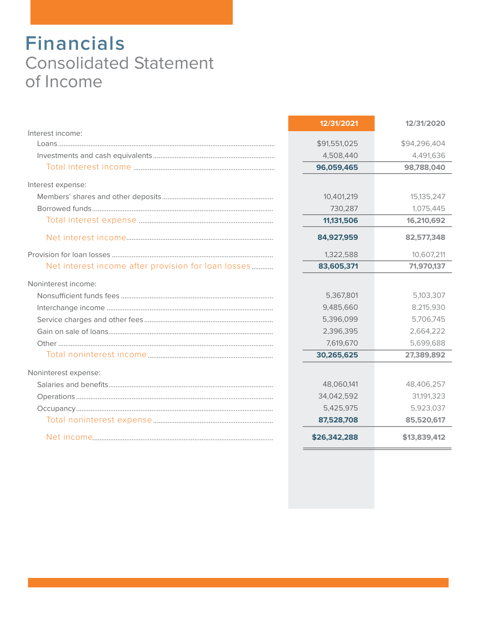## **Financials** Consolidated Statement of Income

|                                                     | 12/31/2021   | 12/31/2020   |
|-----------------------------------------------------|--------------|--------------|
| Interest income:                                    |              |              |
|                                                     | \$91,551,025 | \$94,296,404 |
|                                                     | 4,508,440    | 4,491,636    |
|                                                     | 96,059,465   | 98,788,040   |
| Interest expense:                                   |              |              |
|                                                     | 10,401,219   | 15,135,247   |
|                                                     | 730,287      | 1,075,445    |
|                                                     | 11,131,506   | 16,210,692   |
|                                                     | 84,927,959   | 82,577,348   |
|                                                     | 1,322,588    | 10,607,211   |
| Net interest income after provision for loan losses | 83,605,371   | 71,970,137   |
| Noninterest income:                                 |              |              |
|                                                     | 5,367,801    | 5,103,307    |
|                                                     | 9,485,660    | 8,215,930    |
|                                                     | 5,396,099    | 5,706,745    |
|                                                     | 2,396,395    | 2,664,222    |
|                                                     | 7,619,670    | 5,699,688    |
|                                                     | 30,265,625   | 27,389,892   |
| Noninterest expense:                                |              |              |
|                                                     | 48,060,141   | 48,406,257   |
|                                                     | 34,042,592   | 31,191,323   |
|                                                     | 5,425,975    | 5,923,037    |
|                                                     | 87,528,708   | 85,520,617   |
|                                                     | \$26,342,288 | \$13,839,412 |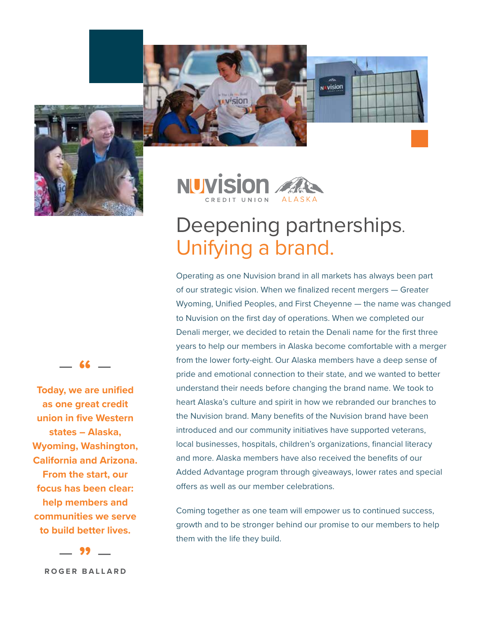



wision

# Deepening partnerships. Unifying a brand.

**NUVISION** 

Operating as one Nuvision brand in all markets has always been part of our strategic vision. When we finalized recent mergers — Greater Wyoming, Unified Peoples, and First Cheyenne — the name was changed to Nuvision on the first day of operations. When we completed our Denali merger, we decided to retain the Denali name for the first three years to help our members in Alaska become comfortable with a merger from the lower forty-eight. Our Alaska members have a deep sense of pride and emotional connection to their state, and we wanted to better understand their needs before changing the brand name. We took to heart Alaska's culture and spirit in how we rebranded our branches to the Nuvision brand. Many benefits of the Nuvision brand have been introduced and our community initiatives have supported veterans, local businesses, hospitals, children's organizations, financial literacy and more. Alaska members have also received the benefits of our Added Advantage program through giveaways, lower rates and special offers as well as our member celebrations.

Coming together as one team will empower us to continued success, growth and to be stronger behind our promise to our members to help them with the life they build.

– **"** –

**Today, we are unified as one great credit union in five Western states – Alaska, Wyoming, Washington, California and Arizona. From the start, our focus has been clear: help members and communities we serve to build better lives.**

– **"** – **ROGER BALLARD**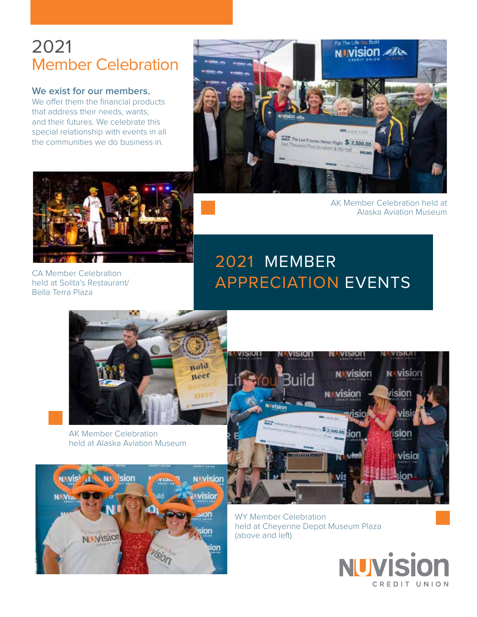### 2021 Member Celebration

#### **We exist for our members.**

We offer them the financial products that address their needs, wants, and their futures. We celebrate this special relationship with events in all the communities we do business in.





CA Member Celebration held at Solita's Restaurant/ Bella Terra Plaza

AK Member Celebration held at Alaska Aviation Museum

### 2021 MEMBER APPRECIATION EVENTS



AK Member Celebration held at Alaska Aviation Museum





WY Member Celebration held at Cheyenne Depot Museum Plaza (above and left)

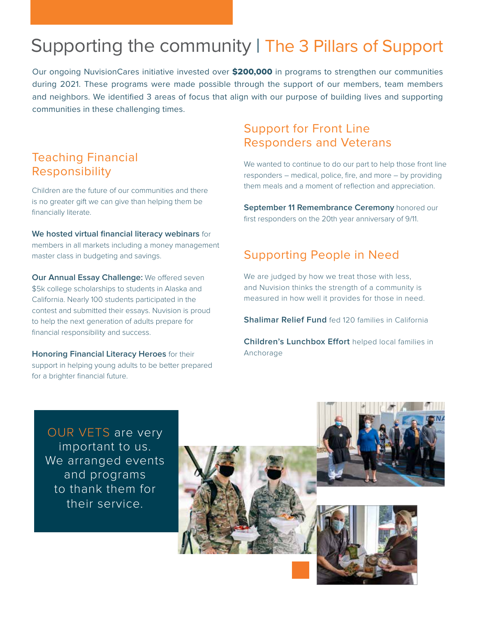## Supporting the community | The 3 Pillars of Support

Our ongoing NuvisionCares initiative invested over \$200,000 in programs to strengthen our communities during 2021. These programs were made possible through the support of our members, team members and neighbors. We identified 3 areas of focus that align with our purpose of building lives and supporting communities in these challenging times.

#### Teaching Financial Responsibility

Children are the future of our communities and there is no greater gift we can give than helping them be financially literate.

#### **We hosted virtual financial literacy webinars** for members in all markets including a money management master class in budgeting and savings.

**Our Annual Essay Challenge:** We offered seven \$5k college scholarships to students in Alaska and California. Nearly 100 students participated in the contest and submitted their essays. Nuvision is proud to help the next generation of adults prepare for financial responsibility and success.

**Honoring Financial Literacy Heroes** for their support in helping young adults to be better prepared for a brighter financial future.

#### Support for Front Line Responders and Veterans

We wanted to continue to do our part to help those front line responders – medical, police, fire, and more – by providing them meals and a moment of reflection and appreciation.

**September 11 Remembrance Ceremony** honored our first responders on the 20th year anniversary of 9/11.

#### Supporting People in Need

We are judged by how we treat those with less, and Nuvision thinks the strength of a community is measured in how well it provides for those in need.

**Shalimar Relief Fund** fed 120 families in California

**Children's Lunchbox Effort** helped local families in Anchorage

OUR VETS are very important to us. We arranged events and programs to thank them for their service.

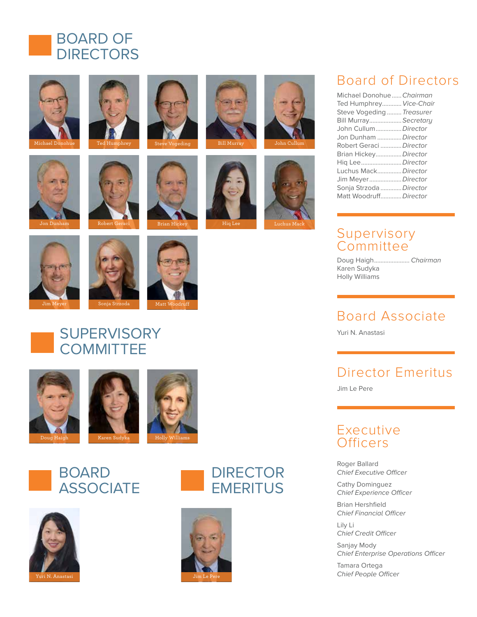













### Board of Directors

| Michael Donohue Chairman  |
|---------------------------|
| Ted Humphrey Vice-Chair   |
| Steve Vogeding  Treasurer |
| Bill Murray Secretary     |
| John CullumDirector       |
| Jon Dunham  Director      |
| Robert Geraci  Director   |
| Brian HickeyDirector      |
| Hiq LeeDirector           |
| Luchus MackDirector       |
| Jim MeyerDirector         |
| Sonja Strzoda  Director   |
| Matt WoodruffDirector     |

#### Supervisory **Committee**

Doug Haigh...................... *Chairman* Karen Sudyka Holly Williams

### Board Associate

Yuri N. Anastasi

### Director Emeritus

Jim Le Pere

#### Executive **Officers**

Roger Ballard Chief Executive Officer

Cathy Dominguez Chief Experience Officer

Brian Hershfield Chief Financial Officer

Lily Li Chief Credit Officer

Sanjay Mody Chief Enterprise Operations Officer

Tamara Ortega Chief People Officer





















**SUPERVISORY COMMITTEE** 







### BOARD **ASSOCIATE**





**DIRECTOR EMERITUS**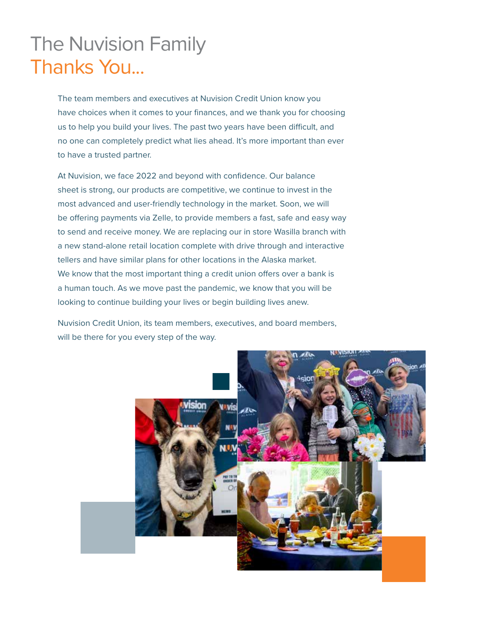# The Nuvision Family Thanks You...

The team members and executives at Nuvision Credit Union know you have choices when it comes to your finances, and we thank you for choosing us to help you build your lives. The past two years have been difficult, and no one can completely predict what lies ahead. It's more important than ever to have a trusted partner.

At Nuvision, we face 2022 and beyond with confidence. Our balance sheet is strong, our products are competitive, we continue to invest in the most advanced and user-friendly technology in the market. Soon, we will be offering payments via Zelle, to provide members a fast, safe and easy way to send and receive money. We are replacing our in store Wasilla branch with a new stand-alone retail location complete with drive through and interactive tellers and have similar plans for other locations in the Alaska market. We know that the most important thing a credit union offers over a bank is a human touch. As we move past the pandemic, we know that you will be looking to continue building your lives or begin building lives anew.

Nuvision Credit Union, its team members, executives, and board members, will be there for you every step of the way.